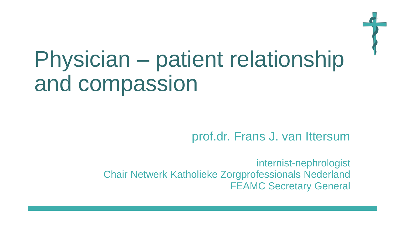

# Physician – patient relationship and compassion

prof.dr. Frans J. van Ittersum

internist-nephrologist Chair Netwerk Katholieke Zorgprofessionals Nederland FEAMC Secretary General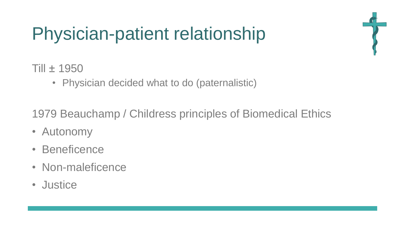# Physician-patient relationship



Till ± 1950

• Physician decided what to do (paternalistic)

1979 Beauchamp / Childress principles of Biomedical Ethics

- Autonomy
- Beneficence
- Non-maleficence
- Justice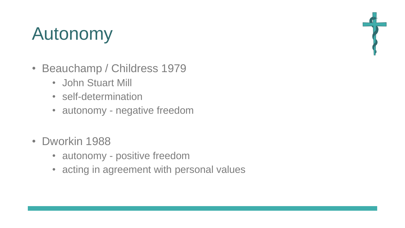# Autonomy

- Beauchamp / Childress 1979
	- John Stuart Mill
	- self-determination
	- autonomy negative freedom
- Dworkin 1988
	- autonomy positive freedom
	- acting in agreement with personal values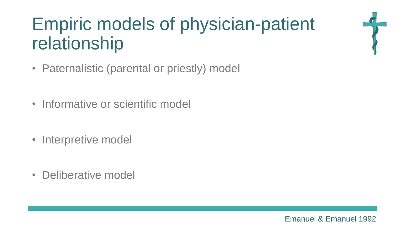# Empiric models of physician-patient relationship

- Paternalistic (parental or priestly) model
- Informative or scientific model
- Interpretive model
- Deliberative model

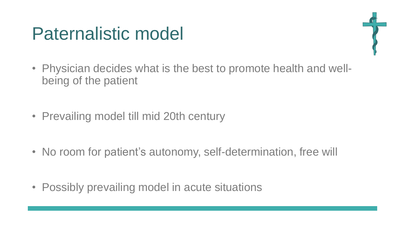#### Paternalistic model



- Physician decides what is the best to promote health and wellbeing of the patient
- Prevailing model till mid 20th century
- No room for patient's autonomy, self-determination, free will
- Possibly prevailing model in acute situations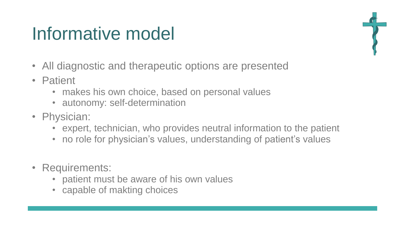### Informative model

- All diagnostic and therapeutic options are presented
- Patient
	- makes his own choice, based on personal values
	- autonomy: self-determination
- Physician:
	- expert, technician, who provides neutral information to the patient
	- no role for physician's values, understanding of patient's values
- Requirements:
	- patient must be aware of his own values
	- capable of makting choices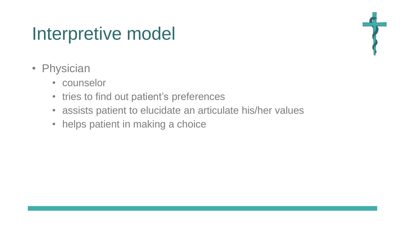### Interpretive model



- Physician
	- counselor
	- tries to find out patient's preferences
	- assists patient to elucidate an articulate his/her values
	- helps patient in making a choice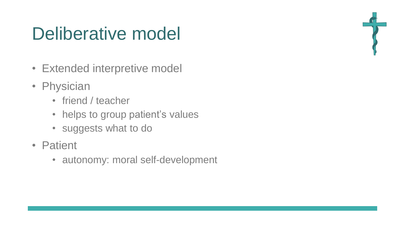#### Deliberative model

- Extended interpretive model
- Physician
	- friend / teacher
	- helps to group patient's values
	- suggests what to do
- Patient
	- autonomy: moral self-development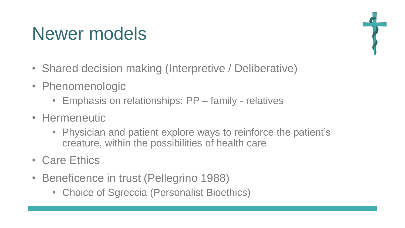### Newer models

- Shared decision making (Interpretive / Deliberative)
- Phenomenologic
	- Emphasis on relationships: PP family relatives
- Hermeneutic
	- Physician and patient explore ways to reinforce the patient's creature, within the possibilities of health care
- Care Ethics
- Beneficence in trust (Pellegrino 1988)
	- Choice of Sgreccia (Personalist Bioethics)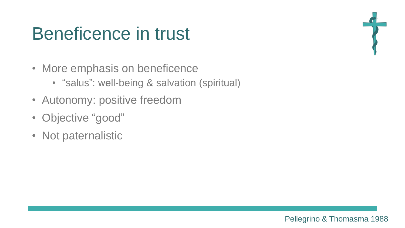#### Beneficence in trust

- More emphasis on beneficence
	- "salus": well-being & salvation (spiritual)

Pellegrino & Thomasma 1988

- Autonomy: positive freedom
- Objective "good"
- Not paternalistic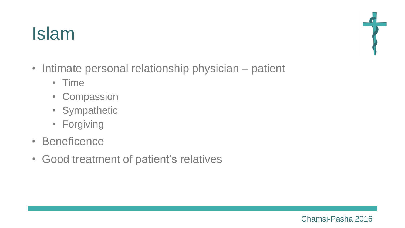#### Islam

- Intimate personal relationship physician patient
	- Time
	- Compassion
	- Sympathetic
	- Forgiving
- Beneficence
- Good treatment of patient's relatives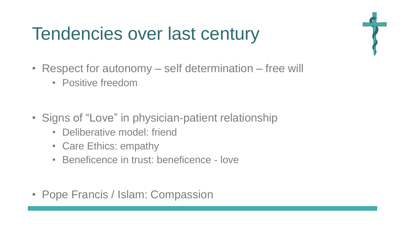# Tendencies over last century

- Respect for autonomy self determination free will
	- Positive freedom
- Signs of "Love" in physician-patient relationship
	- Deliberative model: friend
	- Care Ethics: empathy
	- Beneficence in trust: beneficence love
- Pope Francis / Islam: Compassion